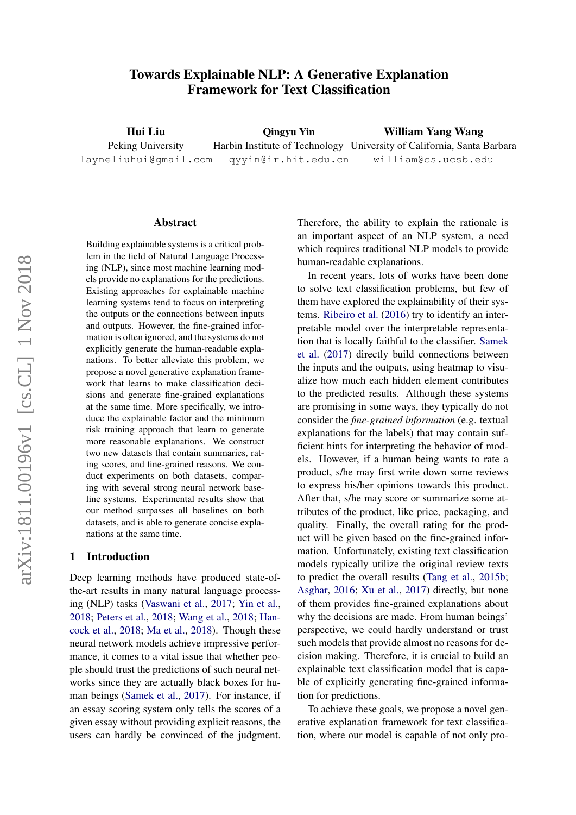# Towards Explainable NLP: A Generative Explanation Framework for Text Classification

Hui Liu Peking University layneliuhui@gmail.com Qingyu Yin Harbin Institute of Technology University of California, Santa Barbara qyyin@ir.hit.edu.cn William Yang Wang william@cs.ucsb.edu

#### Abstract

Building explainable systems is a critical problem in the field of Natural Language Processing (NLP), since most machine learning models provide no explanations for the predictions. Existing approaches for explainable machine learning systems tend to focus on interpreting the outputs or the connections between inputs and outputs. However, the fine-grained information is often ignored, and the systems do not explicitly generate the human-readable explanations. To better alleviate this problem, we propose a novel generative explanation framework that learns to make classification decisions and generate fine-grained explanations at the same time. More specifically, we introduce the explainable factor and the minimum risk training approach that learn to generate more reasonable explanations. We construct two new datasets that contain summaries, rating scores, and fine-grained reasons. We conduct experiments on both datasets, comparing with several strong neural network baseline systems. Experimental results show that our method surpasses all baselines on both datasets, and is able to generate concise explanations at the same time.

### 1 Introduction

Deep learning methods have produced state-ofthe-art results in many natural language processing (NLP) tasks [\(Vaswani et al.,](#page-9-0) [2017;](#page-9-0) [Yin et al.,](#page-9-1) [2018;](#page-9-1) [Peters et al.,](#page-9-2) [2018;](#page-9-2) [Wang et al.,](#page-9-3) [2018;](#page-9-3) [Han](#page-8-0)[cock et al.,](#page-8-0) [2018;](#page-8-0) [Ma et al.,](#page-8-1) [2018\)](#page-8-1). Though these neural network models achieve impressive performance, it comes to a vital issue that whether people should trust the predictions of such neural networks since they are actually black boxes for human beings [\(Samek et al.,](#page-9-4) [2017\)](#page-9-4). For instance, if an essay scoring system only tells the scores of a given essay without providing explicit reasons, the users can hardly be convinced of the judgment.

Therefore, the ability to explain the rationale is an important aspect of an NLP system, a need which requires traditional NLP models to provide human-readable explanations.

In recent years, lots of works have been done to solve text classification problems, but few of them have explored the explainability of their systems. [Ribeiro et al.](#page-9-5) [\(2016\)](#page-9-5) try to identify an interpretable model over the interpretable representation that is locally faithful to the classifier. [Samek](#page-9-4) [et al.](#page-9-4) [\(2017\)](#page-9-4) directly build connections between the inputs and the outputs, using heatmap to visualize how much each hidden element contributes to the predicted results. Although these systems are promising in some ways, they typically do not consider the *fine-grained information* (e.g. textual explanations for the labels) that may contain sufficient hints for interpreting the behavior of models. However, if a human being wants to rate a product, s/he may first write down some reviews to express his/her opinions towards this product. After that, s/he may score or summarize some attributes of the product, like price, packaging, and quality. Finally, the overall rating for the product will be given based on the fine-grained information. Unfortunately, existing text classification models typically utilize the original review texts to predict the overall results [\(Tang et al.,](#page-9-6) [2015b;](#page-9-6) [Asghar,](#page-8-2) [2016;](#page-8-2) [Xu et al.,](#page-9-7) [2017\)](#page-9-7) directly, but none of them provides fine-grained explanations about why the decisions are made. From human beings' perspective, we could hardly understand or trust such models that provide almost no reasons for decision making. Therefore, it is crucial to build an explainable text classification model that is capable of explicitly generating fine-grained information for predictions.

To achieve these goals, we propose a novel generative explanation framework for text classification, where our model is capable of not only pro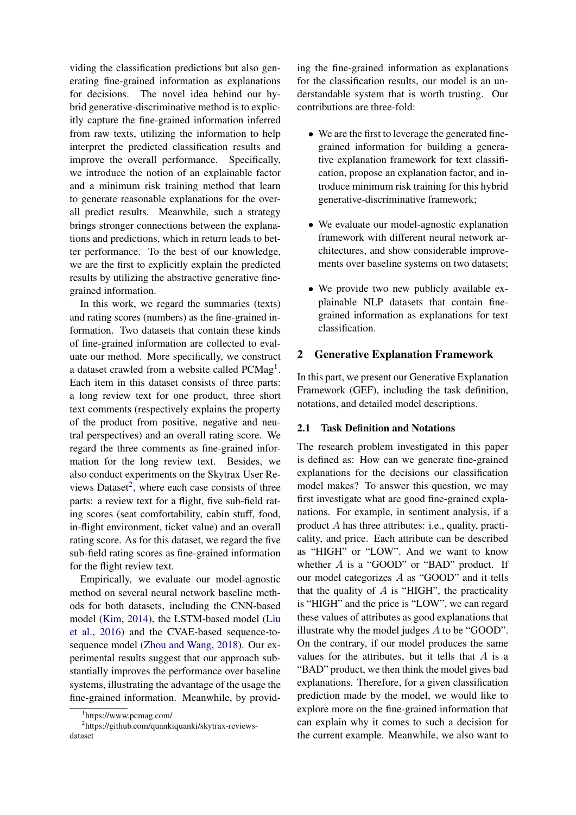viding the classification predictions but also generating fine-grained information as explanations for decisions. The novel idea behind our hybrid generative-discriminative method is to explicitly capture the fine-grained information inferred from raw texts, utilizing the information to help interpret the predicted classification results and improve the overall performance. Specifically, we introduce the notion of an explainable factor and a minimum risk training method that learn to generate reasonable explanations for the overall predict results. Meanwhile, such a strategy brings stronger connections between the explanations and predictions, which in return leads to better performance. To the best of our knowledge, we are the first to explicitly explain the predicted results by utilizing the abstractive generative finegrained information.

In this work, we regard the summaries (texts) and rating scores (numbers) as the fine-grained information. Two datasets that contain these kinds of fine-grained information are collected to evaluate our method. More specifically, we construct a dataset crawled from a website called PCMag<sup>[1](#page-1-0)</sup>. Each item in this dataset consists of three parts: a long review text for one product, three short text comments (respectively explains the property of the product from positive, negative and neutral perspectives) and an overall rating score. We regard the three comments as fine-grained information for the long review text. Besides, we also conduct experiments on the Skytrax User Re-views Dataset<sup>[2](#page-1-1)</sup>, where each case consists of three parts: a review text for a flight, five sub-field rating scores (seat comfortability, cabin stuff, food, in-flight environment, ticket value) and an overall rating score. As for this dataset, we regard the five sub-field rating scores as fine-grained information for the flight review text.

Empirically, we evaluate our model-agnostic method on several neural network baseline methods for both datasets, including the CNN-based model [\(Kim,](#page-8-3) [2014\)](#page-8-3), the LSTM-based model [\(Liu](#page-8-4) [et al.,](#page-8-4) [2016\)](#page-8-4) and the CVAE-based sequence-tosequence model [\(Zhou and Wang,](#page-9-8) [2018\)](#page-9-8). Our experimental results suggest that our approach substantially improves the performance over baseline systems, illustrating the advantage of the usage the fine-grained information. Meanwhile, by provid-

ing the fine-grained information as explanations for the classification results, our model is an understandable system that is worth trusting. Our contributions are three-fold:

- We are the first to leverage the generated finegrained information for building a generative explanation framework for text classification, propose an explanation factor, and introduce minimum risk training for this hybrid generative-discriminative framework;
- We evaluate our model-agnostic explanation framework with different neural network architectures, and show considerable improvements over baseline systems on two datasets;
- We provide two new publicly available explainable NLP datasets that contain finegrained information as explanations for text classification.

# 2 Generative Explanation Framework

In this part, we present our Generative Explanation Framework (GEF), including the task definition, notations, and detailed model descriptions.

# 2.1 Task Definition and Notations

The research problem investigated in this paper is defined as: How can we generate fine-grained explanations for the decisions our classification model makes? To answer this question, we may first investigate what are good fine-grained explanations. For example, in sentiment analysis, if a product A has three attributes: i.e., quality, practicality, and price. Each attribute can be described as "HIGH" or "LOW". And we want to know whether  $A$  is a "GOOD" or "BAD" product. If our model categorizes A as "GOOD" and it tells that the quality of  $A$  is "HIGH", the practicality is "HIGH" and the price is "LOW", we can regard these values of attributes as good explanations that illustrate why the model judges A to be "GOOD". On the contrary, if our model produces the same values for the attributes, but it tells that  $A$  is a "BAD" product, we then think the model gives bad explanations. Therefore, for a given classification prediction made by the model, we would like to explore more on the fine-grained information that can explain why it comes to such a decision for the current example. Meanwhile, we also want to

<span id="page-1-1"></span><span id="page-1-0"></span><sup>1</sup> https://www.pcmag.com/

<sup>&</sup>lt;sup>2</sup>https://github.com/quankiquanki/skytrax-reviewsdataset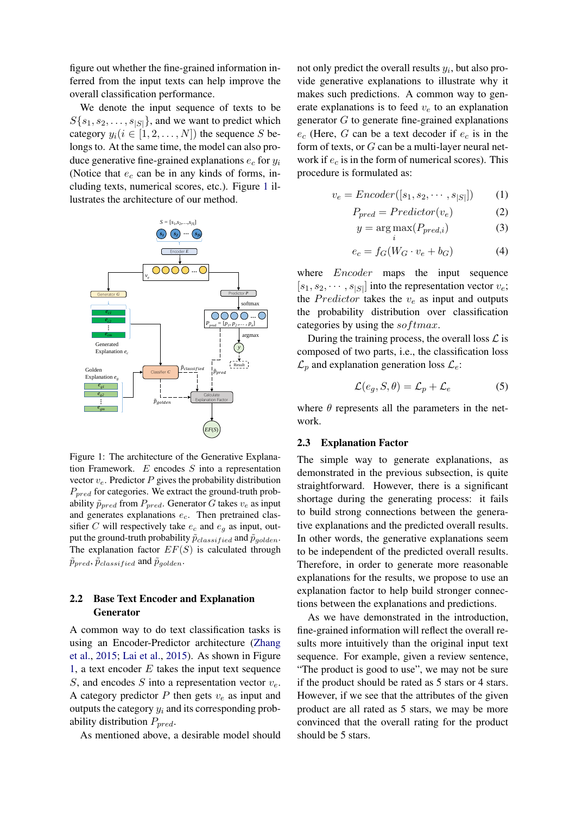figure out whether the fine-grained information inferred from the input texts can help improve the overall classification performance.

We denote the input sequence of texts to be  $S\{s_1, s_2, \ldots, s_{|S|}\}\$ , and we want to predict which category  $y_i (i \in [1, 2, \ldots, N])$  the sequence S belongs to. At the same time, the model can also produce generative fine-grained explanations  $e_c$  for  $y_i$ (Notice that  $e_c$  can be in any kinds of forms, including texts, numerical scores, etc.). Figure [1](#page-2-0) illustrates the architecture of our method.

<span id="page-2-0"></span>

Figure 1: The architecture of the Generative Explanation Framework.  $E$  encodes  $S$  into a representation vector  $v_e$ . Predictor P gives the probability distribution  $P_{pred}$  for categories. We extract the ground-truth probability  $\tilde{p}_{pred}$  from  $P_{pred}$ . Generator G takes  $v_e$  as input and generates explanations  $e_c$ . Then pretrained classifier C will respectively take  $e_c$  and  $e_g$  as input, output the ground-truth probability  $\tilde{p}_{classified}$  and  $\tilde{p}_{golden}.$ The explanation factor  $EF(S)$  is calculated through  $\tilde{p}_{pred}, \tilde{p}_{classified}$  and  $\tilde{p}_{golden}.$ 

# 2.2 Base Text Encoder and Explanation Generator

A common way to do text classification tasks is using an Encoder-Predictor architecture [\(Zhang](#page-9-9) [et al.,](#page-9-9) [2015;](#page-9-9) [Lai et al.,](#page-8-5) [2015\)](#page-8-5). As shown in Figure [1,](#page-2-0) a text encoder  $E$  takes the input text sequence S, and encodes S into a representation vector  $v_e$ . A category predictor  $P$  then gets  $v_e$  as input and outputs the category  $y_i$  and its corresponding probability distribution  $P_{pred}$ .

As mentioned above, a desirable model should

not only predict the overall results  $y_i$ , but also provide generative explanations to illustrate why it makes such predictions. A common way to generate explanations is to feed  $v_e$  to an explanation generator G to generate fine-grained explanations  $e_c$  (Here, G can be a text decoder if  $e_c$  is in the form of texts, or  $G$  can be a multi-layer neural network if  $e_c$  is in the form of numerical scores). This procedure is formulated as:

$$
v_e = \text{Encoder}([s_1, s_2, \cdots, s_{|S|}]) \tag{1}
$$

$$
P_{pred} = Prediction(v_e)
$$
 (2)

$$
y = \underset{i}{\arg \max} (P_{pred,i}) \tag{3}
$$

$$
e_c = f_G(W_G \cdot v_e + b_G) \tag{4}
$$

where *Encoder* maps the input sequence  $[s_1, s_2, \cdots, s_{|S|}]$  into the representation vector  $v_e$ ; the *Predictor* takes the  $v_e$  as input and outputs the probability distribution over classification categories by using the softmax.

During the training process, the overall loss  $\mathcal L$  is composed of two parts, i.e., the classification loss  $\mathcal{L}_p$  and explanation generation loss  $\mathcal{L}_e$ :

$$
\mathcal{L}(e_g, S, \theta) = \mathcal{L}_p + \mathcal{L}_e \tag{5}
$$

where  $\theta$  represents all the parameters in the network.

### 2.3 Explanation Factor

The simple way to generate explanations, as demonstrated in the previous subsection, is quite straightforward. However, there is a significant shortage during the generating process: it fails to build strong connections between the generative explanations and the predicted overall results. In other words, the generative explanations seem to be independent of the predicted overall results. Therefore, in order to generate more reasonable explanations for the results, we propose to use an explanation factor to help build stronger connections between the explanations and predictions.

As we have demonstrated in the introduction, fine-grained information will reflect the overall results more intuitively than the original input text sequence. For example, given a review sentence, "The product is good to use", we may not be sure if the product should be rated as 5 stars or 4 stars. However, if we see that the attributes of the given product are all rated as 5 stars, we may be more convinced that the overall rating for the product should be 5 stars.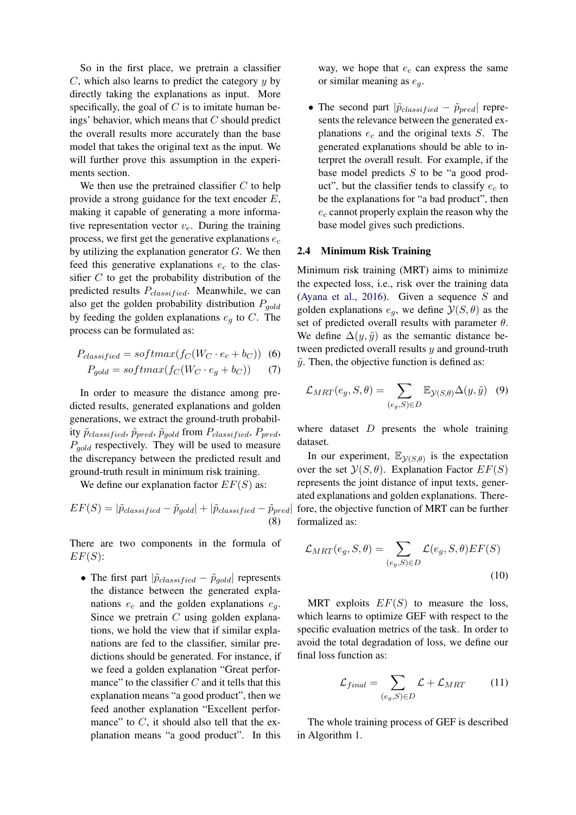So in the first place, we pretrain a classifier  $C$ , which also learns to predict the category  $y$  by directly taking the explanations as input. More specifically, the goal of  $C$  is to imitate human beings' behavior, which means that  $C$  should predict the overall results more accurately than the base model that takes the original text as the input. We will further prove this assumption in the experiments section.

We then use the pretrained classifier  $C$  to help provide a strong guidance for the text encoder  $E$ , making it capable of generating a more informative representation vector  $v_e$ . During the training process, we first get the generative explanations  $e_c$ by utilizing the explanation generator  $G$ . We then feed this generative explanations  $e_c$  to the classifier  $C$  to get the probability distribution of the predicted results  $P_{classified}$ . Meanwhile, we can also get the golden probability distribution  $P_{gold}$ by feeding the golden explanations  $e_q$  to C. The process can be formulated as:

$$
P_{classified} = softmax(f_C(W_C \cdot e_c + b_C))
$$
 (6)

$$
P_{gold} = softmax(f_C(W_C \cdot e_g + b_C)) \tag{7}
$$

In order to measure the distance among predicted results, generated explanations and golden generations, we extract the ground-truth probability  $\tilde{p}_{classified}, \tilde{p}_{pred}, \tilde{p}_{gold}$  from  $P_{classified}, P_{pred},$  $P_{gold}$  respectively. They will be used to measure the discrepancy between the predicted result and ground-truth result in minimum risk training.

We define our explanation factor  $EF(S)$  as:

$$
EF(S) = |\tilde{p}_{classified} - \tilde{p}_{gold}| + |\tilde{p}_{classified} - \tilde{p}_{pred}|
$$
\n(8)

There are two components in the formula of  $EF(S)$ :

• The first part  $|\tilde{p}_{classified} - \tilde{p}_{gold}|$  represents the distance between the generated explanations  $e_c$  and the golden explanations  $e_q$ . Since we pretrain  $C$  using golden explanations, we hold the view that if similar explanations are fed to the classifier, similar predictions should be generated. For instance, if we feed a golden explanation "Great performance" to the classifier  $C$  and it tells that this explanation means "a good product", then we feed another explanation "Excellent performance" to  $C$ , it should also tell that the explanation means "a good product". In this way, we hope that  $e_c$  can express the same or similar meaning as  $e_a$ .

• The second part  $|\tilde{p}_{classified} - \tilde{p}_{pred}|$  represents the relevance between the generated explanations  $e_c$  and the original texts  $S$ . The generated explanations should be able to interpret the overall result. For example, if the base model predicts S to be "a good product", but the classifier tends to classify  $e_c$  to be the explanations for "a bad product", then  $e_c$  cannot properly explain the reason why the base model gives such predictions.

# 2.4 Minimum Risk Training

Minimum risk training (MRT) aims to minimize the expected loss, i.e., risk over the training data [\(Ayana et al.,](#page-8-6) [2016\)](#page-8-6). Given a sequence S and golden explanations  $e_q$ , we define  $\mathcal{Y}(S,\theta)$  as the set of predicted overall results with parameter  $\theta$ . We define  $\Delta(y, \tilde{y})$  as the semantic distance between predicted overall results  $y$  and ground-truth  $\tilde{y}$ . Then, the objective function is defined as:

$$
\mathcal{L}_{MRT}(e_g, S, \theta) = \sum_{(e_g, S) \in D} \mathbb{E}_{\mathcal{Y}(S, \theta)} \Delta(y, \tilde{y}) \quad (9)
$$

where dataset  $D$  presents the whole training dataset.

In our experiment,  $\mathbb{E}_{\mathcal{Y}(S,\theta)}$  is the expectation over the set  $\mathcal{Y}(S, \theta)$ . Explanation Factor  $EF(S)$ represents the joint distance of input texts, generated explanations and golden explanations. Therefore, the objective function of MRT can be further formalized as:

$$
\mathcal{L}_{MRT}(e_g, S, \theta) = \sum_{(e_g, S) \in D} \mathcal{L}(e_g, S, \theta) EF(S)
$$
\n(10)

MRT exploits  $EF(S)$  to measure the loss, which learns to optimize GEF with respect to the specific evaluation metrics of the task. In order to avoid the total degradation of loss, we define our final loss function as:

$$
\mathcal{L}_{final} = \sum_{(e_g, S) \in D} \mathcal{L} + \mathcal{L}_{MRT} \tag{11}
$$

The whole training process of GEF is described in Algorithm [1.](#page-4-0)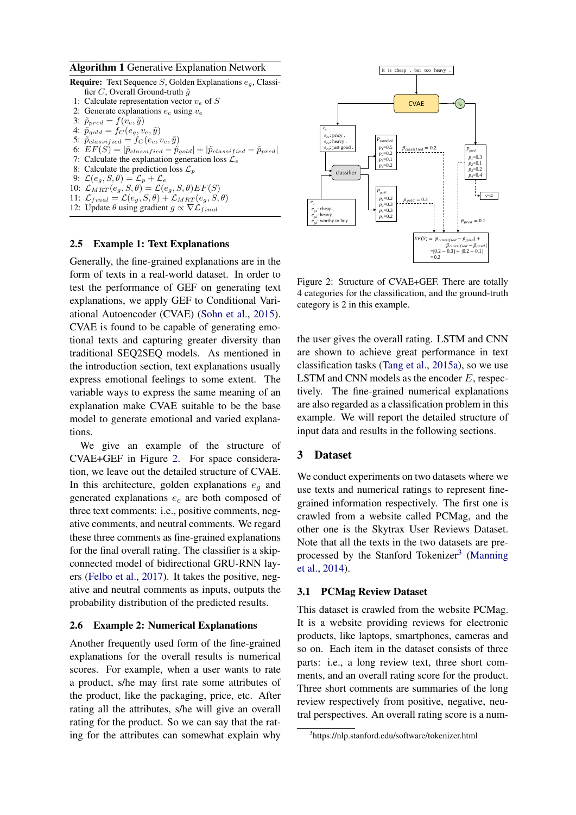### <span id="page-4-0"></span>Algorithm 1 Generative Explanation Network

- **Require:** Text Sequence S, Golden Explanations  $e_a$ , Classifier C, Overall Ground-truth  $\tilde{y}$ 1: Calculate representation vector  $v_e$  of S 2: Generate explanations  $e_c$  using  $v_e$ 3:  $\tilde{p}_{pred} = f(v_e, \tilde{y})$ 4:  $\tilde{p}_{gold} = f_C(e_g, v_e, \tilde{y})$ 5:  $\tilde{p}_{classified} = f_C(e_c, v_e, \tilde{y})$ 6:  $EF(S) = |\tilde{p}_{classified} - \tilde{p}_{gold}| + |\tilde{p}_{classified} - \tilde{p}_{pred}|$ 7: Calculate the explanation generation loss  $\mathcal{L}_e$ 8: Calculate the prediction loss  $\mathcal{L}_p$ 9:  $\mathcal{L}(e_g, S, \theta) = \mathcal{L}_p + \mathcal{L}_e$ 10:  $\mathcal{L}_{MRT}(e_g, S, \theta) = \mathcal{L}(e_g, S, \theta) EF(S)$ 11:  $\mathcal{L}_{final} = \mathcal{L}(e_g, S, \theta) + \mathcal{L}_{MRT}(e_g, S, \theta)$
- 12: Update  $\theta$  using gradient  $g \propto \nabla \mathcal{L}_{final}$

#### 2.5 Example 1: Text Explanations

Generally, the fine-grained explanations are in the form of texts in a real-world dataset. In order to test the performance of GEF on generating text explanations, we apply GEF to Conditional Variational Autoencoder (CVAE) [\(Sohn et al.,](#page-9-10) [2015\)](#page-9-10). CVAE is found to be capable of generating emotional texts and capturing greater diversity than traditional SEQ2SEQ models. As mentioned in the introduction section, text explanations usually express emotional feelings to some extent. The variable ways to express the same meaning of an explanation make CVAE suitable to be the base model to generate emotional and varied explanations.

We give an example of the structure of CVAE+GEF in Figure [2.](#page-4-1) For space consideration, we leave out the detailed structure of CVAE. In this architecture, golden explanations  $e_a$  and generated explanations  $e_c$  are both composed of three text comments: i.e., positive comments, negative comments, and neutral comments. We regard these three comments as fine-grained explanations for the final overall rating. The classifier is a skipconnected model of bidirectional GRU-RNN layers [\(Felbo et al.,](#page-8-7) [2017\)](#page-8-7). It takes the positive, negative and neutral comments as inputs, outputs the probability distribution of the predicted results.

#### 2.6 Example 2: Numerical Explanations

Another frequently used form of the fine-grained explanations for the overall results is numerical scores. For example, when a user wants to rate a product, s/he may first rate some attributes of the product, like the packaging, price, etc. After rating all the attributes, s/he will give an overall rating for the product. So we can say that the rating for the attributes can somewhat explain why

<span id="page-4-1"></span>

Figure 2: Structure of CVAE+GEF. There are totally 4 categories for the classification, and the ground-truth category is 2 in this example.

the user gives the overall rating. LSTM and CNN are shown to achieve great performance in text classification tasks [\(Tang et al.,](#page-9-11) [2015a\)](#page-9-11), so we use LSTM and CNN models as the encoder  $E$ , respectively. The fine-grained numerical explanations are also regarded as a classification problem in this example. We will report the detailed structure of input data and results in the following sections.

### 3 Dataset

We conduct experiments on two datasets where we use texts and numerical ratings to represent finegrained information respectively. The first one is crawled from a website called PCMag, and the other one is the Skytrax User Reviews Dataset. Note that all the texts in the two datasets are pre-processed by the Stanford Tokenizer<sup>[3](#page-4-2)</sup> [\(Manning](#page-8-8) [et al.,](#page-8-8) [2014\)](#page-8-8).

#### 3.1 PCMag Review Dataset

This dataset is crawled from the website PCMag. It is a website providing reviews for electronic products, like laptops, smartphones, cameras and so on. Each item in the dataset consists of three parts: i.e., a long review text, three short comments, and an overall rating score for the product. Three short comments are summaries of the long review respectively from positive, negative, neutral perspectives. An overall rating score is a num-

<span id="page-4-2"></span><sup>3</sup> https://nlp.stanford.edu/software/tokenizer.html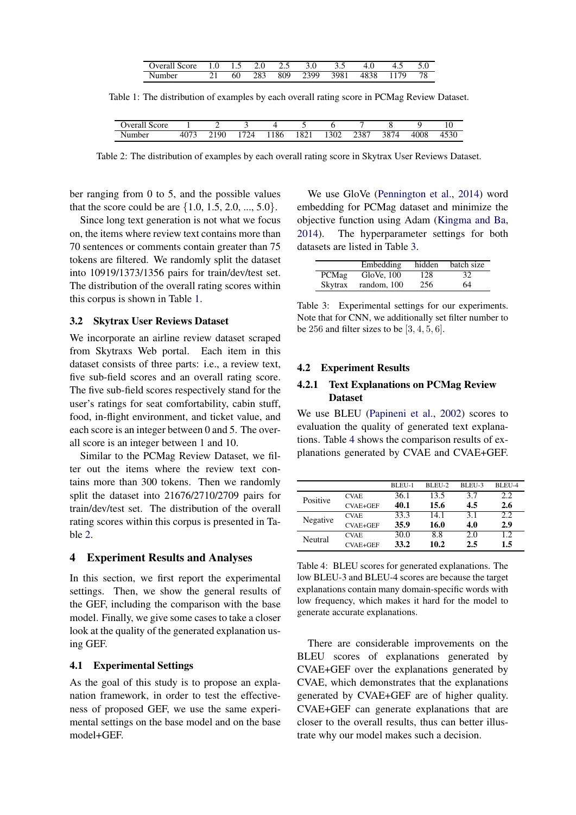| <b>Jveral</b><br>Score. | .        | L.J |     |     |      | <u>.</u> |            | - | J.V |
|-------------------------|----------|-----|-----|-----|------|----------|------------|---|-----|
| Number                  | $\sim$ 1 | 60  | 283 | 809 | 2399 | 3981     | 38<br>41 X |   |     |

<span id="page-5-1"></span><span id="page-5-0"></span>Table 1: The distribution of examples by each overall rating score in PCMag Review Dataset.

| Score<br>verali. |              |                 |                                        |     |      |      |              |     |      |                      |
|------------------|--------------|-----------------|----------------------------------------|-----|------|------|--------------|-----|------|----------------------|
| - -<br>Number    | 0.77<br>40/5 | 90<br>ົາ 1<br>∸ | $\overline{\phantom{a}}$<br>, <u>Д</u> | 186 | 1821 | 1302 | 2207<br>250' | 387 | 4008 | $1 - \Omega$<br>+796 |

Table 2: The distribution of examples by each overall rating score in Skytrax User Reviews Dataset.

ber ranging from 0 to 5, and the possible values that the score could be are  $\{1.0, 1.5, 2.0, ..., 5.0\}$ .

Since long text generation is not what we focus on, the items where review text contains more than 70 sentences or comments contain greater than 75 tokens are filtered. We randomly split the dataset into 10919/1373/1356 pairs for train/dev/test set. The distribution of the overall rating scores within this corpus is shown in Table [1.](#page-5-0)

# 3.2 Skytrax User Reviews Dataset

We incorporate an airline review dataset scraped from Skytraxs Web portal. Each item in this dataset consists of three parts: i.e., a review text, five sub-field scores and an overall rating score. The five sub-field scores respectively stand for the user's ratings for seat comfortability, cabin stuff, food, in-flight environment, and ticket value, and each score is an integer between 0 and 5. The overall score is an integer between 1 and 10.

Similar to the PCMag Review Dataset, we filter out the items where the review text contains more than 300 tokens. Then we randomly split the dataset into 21676/2710/2709 pairs for train/dev/test set. The distribution of the overall rating scores within this corpus is presented in Table [2.](#page-5-1)

# 4 Experiment Results and Analyses

In this section, we first report the experimental settings. Then, we show the general results of the GEF, including the comparison with the base model. Finally, we give some cases to take a closer look at the quality of the generated explanation using GEF.

# 4.1 Experimental Settings

As the goal of this study is to propose an explanation framework, in order to test the effectiveness of proposed GEF, we use the same experimental settings on the base model and on the base model+GEF.

We use GloVe [\(Pennington et al.,](#page-9-12) [2014\)](#page-9-12) word embedding for PCMag dataset and minimize the objective function using Adam [\(Kingma and Ba,](#page-8-9) [2014\)](#page-8-9). The hyperparameter settings for both datasets are listed in Table [3.](#page-5-2)

<span id="page-5-2"></span>

|         | Embedding   | hidden | batch size |
|---------|-------------|--------|------------|
| PCMag   | GloVe. 100  | 128    | 32         |
| Skytrax | random, 100 | 256    | 64         |

Table 3: Experimental settings for our experiments. Note that for CNN, we additionally set filter number to be 256 and filter sizes to be  $[3, 4, 5, 6]$ .

#### 4.2 Experiment Results

# 4.2.1 Text Explanations on PCMag Review Dataset

We use BLEU [\(Papineni et al.,](#page-9-13) [2002\)](#page-9-13) scores to evaluation the quality of generated text explanations. Table [4](#page-5-3) shows the comparison results of explanations generated by CVAE and CVAE+GEF.

<span id="page-5-3"></span>

|          |                 | BLEU-1 | BLEU-2 | BLEU-3 | BLEU-4 |
|----------|-----------------|--------|--------|--------|--------|
| Positive | <b>CVAE</b>     | 36.1   | 13.5   | 3.7    | 2.2    |
|          | <b>CVAE+GEF</b> | 40.1   | 15.6   | 4.5    | 2.6    |
| Negative | <b>CVAE</b>     | 33.3   | 14.1   | 3.1    | 2.2    |
|          | <b>CVAE+GEF</b> | 35.9   | 16.0   | 4.0    | 2.9    |
| Neutral  | <b>CVAE</b>     | 30.0   | 8.8    | 2.0    | 1.2    |
|          | <b>CVAE+GEF</b> | 33.2   | 10.2   | 2.5    | 1.5    |

Table 4: BLEU scores for generated explanations. The low BLEU-3 and BLEU-4 scores are because the target explanations contain many domain-specific words with low frequency, which makes it hard for the model to generate accurate explanations.

There are considerable improvements on the BLEU scores of explanations generated by CVAE+GEF over the explanations generated by CVAE, which demonstrates that the explanations generated by CVAE+GEF are of higher quality. CVAE+GEF can generate explanations that are closer to the overall results, thus can better illustrate why our model makes such a decision.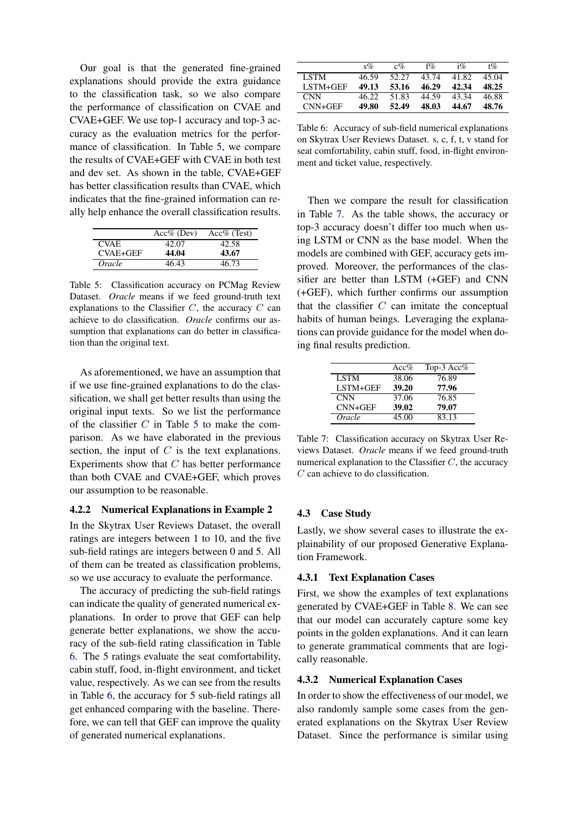Our goal is that the generated fine-grained explanations should provide the extra guidance to the classification task, so we also compare the performance of classification on CVAE and CVAE+GEF. We use top-1 accuracy and top-3 accuracy as the evaluation metrics for the performance of classification. In Table [5,](#page-6-0) we compare the results of CVAE+GEF with CVAE in both test and dev set. As shown in the table, CVAE+GEF has better classification results than CVAE, which indicates that the fine-grained information can really help enhance the overall classification results.

<span id="page-6-0"></span>

|             | $Acc\%$ (Dev) | $Acc\%$ (Test) |
|-------------|---------------|----------------|
| <b>CVAE</b> | 42.07         | 42.58          |
| CVAE+GEF    | 44.04         | 43.67          |
| Oracle      | 46.43         | 46.73          |

Table 5: Classification accuracy on PCMag Review Dataset. *Oracle* means if we feed ground-truth text explanations to the Classifier  $C$ , the accuracy  $C$  can achieve to do classification. *Oracle* confirms our assumption that explanations can do better in classification than the original text.

As aforementioned, we have an assumption that if we use fine-grained explanations to do the classification, we shall get better results than using the original input texts. So we list the performance of the classifier  $C$  in Table [5](#page-6-0) to make the comparison. As we have elaborated in the previous section, the input of  $C$  is the text explanations. Experiments show that  $C$  has better performance than both CVAE and CVAE+GEF, which proves our assumption to be reasonable.

## 4.2.2 Numerical Explanations in Example 2

In the Skytrax User Reviews Dataset, the overall ratings are integers between 1 to 10, and the five sub-field ratings are integers between 0 and 5. All of them can be treated as classification problems, so we use accuracy to evaluate the performance.

The accuracy of predicting the sub-field ratings can indicate the quality of generated numerical explanations. In order to prove that GEF can help generate better explanations, we show the accuracy of the sub-field rating classification in Table [6.](#page-6-1) The 5 ratings evaluate the seat comfortability, cabin stuff, food, in-flight environment, and ticket value, respectively. As we can see from the results in Table [6,](#page-6-1) the accuracy for 5 sub-field ratings all get enhanced comparing with the baseline. Therefore, we can tell that GEF can improve the quality of generated numerical explanations.

<span id="page-6-1"></span>

|             | $S\%$ | $c\%$ | $f\%$ | $1\%$ | $t\%$ |
|-------------|-------|-------|-------|-------|-------|
| <b>LSTM</b> | 46.59 | 52.27 | 43.74 | 41.82 | 45.04 |
| LSTM+GEF    | 49.13 | 53.16 | 46.29 | 42.34 | 48.25 |
| <b>CNN</b>  | 46.22 | 51.83 | 44.59 | 43.34 | 46.88 |
| $CNN+GEF$   | 49.80 | 52.49 | 48.03 | 44.67 | 48.76 |

Table 6: Accuracy of sub-field numerical explanations on Skytrax User Reviews Dataset. s, c, f, t, v stand for seat comfortability, cabin stuff, food, in-flight environment and ticket value, respectively.

Then we compare the result for classification in Table [7.](#page-6-2) As the table shows, the accuracy or top-3 accuracy doesn't differ too much when using LSTM or CNN as the base model. When the models are combined with GEF, accuracy gets improved. Moreover, the performances of the classifier are better than LSTM (+GEF) and CNN (+GEF), which further confirms our assumption that the classifier  $C$  can imitate the conceptual habits of human beings. Leveraging the explanations can provide guidance for the model when doing final results prediction.

<span id="page-6-2"></span>

|             | Acc%  | Top-3 Acc $%$ |
|-------------|-------|---------------|
| <b>LSTM</b> | 38.06 | 76.89         |
| LSTM+GEF    | 39.20 | 77.96         |
| <b>CNN</b>  | 37.06 | 76.85         |
| $CNN+GEF$   | 39.02 | 79.07         |
| Oracle      | 45.00 | 83.13         |

Table 7: Classification accuracy on Skytrax User Reviews Dataset. *Oracle* means if we feed ground-truth numerical explanation to the Classifier  $C$ , the accuracy C can achieve to do classification.

# 4.3 Case Study

Lastly, we show several cases to illustrate the explainability of our proposed Generative Explanation Framework.

# 4.3.1 Text Explanation Cases

First, we show the examples of text explanations generated by CVAE+GEF in Table [8.](#page-7-0) We can see that our model can accurately capture some key points in the golden explanations. And it can learn to generate grammatical comments that are logically reasonable.

#### 4.3.2 Numerical Explanation Cases

In order to show the effectiveness of our model, we also randomly sample some cases from the generated explanations on the Skytrax User Review Dataset. Since the performance is similar using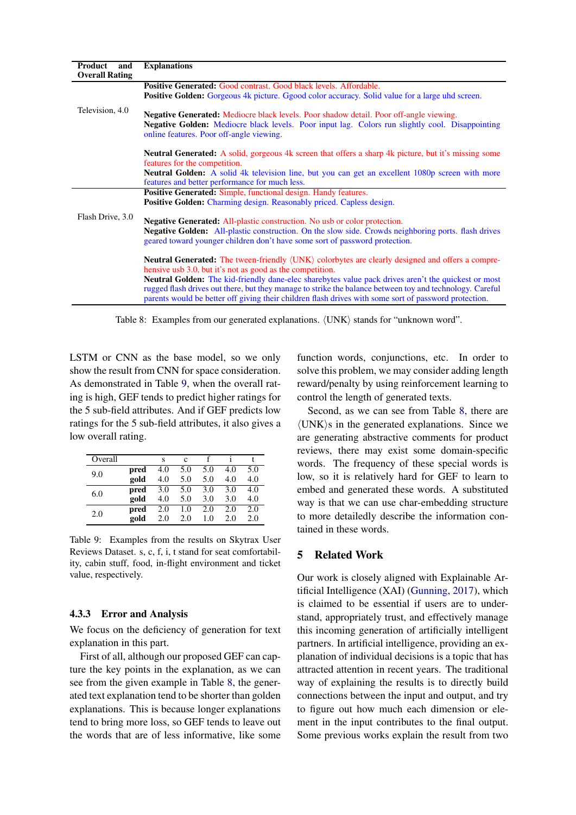<span id="page-7-0"></span>

| Product<br>and        | <b>Explanations</b>                                                                                                       |
|-----------------------|---------------------------------------------------------------------------------------------------------------------------|
| <b>Overall Rating</b> |                                                                                                                           |
|                       | <b>Positive Generated: Good contrast. Good black levels. Affordable.</b>                                                  |
|                       |                                                                                                                           |
|                       | <b>Positive Golden:</b> Gorgeous 4k picture. Ggood color accuracy. Solid value for a large und screen.                    |
| Television, 4.0       |                                                                                                                           |
|                       | <b>Negative Generated: Mediocre black levels. Poor shadow detail. Poor off-angle viewing.</b>                             |
|                       | <b>Negative Golden:</b> Mediocre black levels. Poor input lag. Colors run slightly cool. Disappointing                    |
|                       | online features. Poor off-angle viewing.                                                                                  |
|                       |                                                                                                                           |
|                       | <b>Neutral Generated:</b> A solid, gorgeous 4k screen that offers a sharp 4k picture, but it's missing some               |
|                       | features for the competition.                                                                                             |
|                       | Neutral Golden: A solid 4k television line, but you can get an excellent 1080p screen with more                           |
|                       | features and better performance for much less.                                                                            |
|                       |                                                                                                                           |
|                       | <b>Positive Generated: Simple, functional design. Handy features.</b>                                                     |
|                       | <b>Positive Golden:</b> Charming design. Reasonably priced. Capless design.                                               |
| Flash Drive, 3.0      |                                                                                                                           |
|                       | <b>Negative Generated:</b> All-plastic construction. No usb or color protection.                                          |
|                       | <b>Negative Golden:</b> All-plastic construction. On the slow side. Crowds neighboring ports. flash drives                |
|                       | geared toward younger children don't have some sort of password protection.                                               |
|                       |                                                                                                                           |
|                       | <b>Neutral Generated:</b> The tween-friendly $\langle$ UNK $\rangle$ colorbytes are clearly designed and offers a compre- |
|                       | hensive usb 3.0, but it's not as good as the competition.                                                                 |
|                       | <b>Neutral Golden:</b> The kid-friendly dane-elec share by tes value pack drives aren't the quickest or most              |
|                       | rugged flash drives out there, but they manage to strike the balance between toy and technology. Careful                  |
|                       |                                                                                                                           |
|                       | parents would be better off giving their children flash drives with some sort of password protection.                     |

Table 8: Examples from our generated explanations. (UNK) stands for "unknown word".

LSTM or CNN as the base model, so we only show the result from CNN for space consideration. As demonstrated in Table [9,](#page-7-1) when the overall rating is high, GEF tends to predict higher ratings for the 5 sub-field attributes. And if GEF predicts low ratings for the 5 sub-field attributes, it also gives a low overall rating.

<span id="page-7-1"></span>

| Overall |      | S   | c   |     |     |     |
|---------|------|-----|-----|-----|-----|-----|
| 9.0     | pred | 4.0 | 5.0 | 5.0 | 4.0 | 5.0 |
|         | gold | 4.0 | 5.0 | 5.0 | 4.0 | 4.0 |
| 6.0     | pred | 3.0 | 5.0 | 3.0 | 3.0 | 4.0 |
|         | gold | 4.0 | 5.0 | 3.0 | 3.0 | 4.0 |
| 2.0     | pred | 2.0 | 1.0 | 2.0 | 2.0 | 2.0 |
|         | gold | 2.0 | 2.0 | 1.0 | 2.0 | 2.0 |

Table 9: Examples from the results on Skytrax User Reviews Dataset. s, c, f, i, t stand for seat comfortability, cabin stuff, food, in-flight environment and ticket value, respectively.

# 4.3.3 Error and Analysis

We focus on the deficiency of generation for text explanation in this part.

First of all, although our proposed GEF can capture the key points in the explanation, as we can see from the given example in Table [8,](#page-7-0) the generated text explanation tend to be shorter than golden explanations. This is because longer explanations tend to bring more loss, so GEF tends to leave out the words that are of less informative, like some

function words, conjunctions, etc. In order to solve this problem, we may consider adding length reward/penalty by using reinforcement learning to control the length of generated texts.

Second, as we can see from Table [8,](#page-7-0) there are  $\langle$ UNK $\rangle$ s in the generated explanations. Since we are generating abstractive comments for product reviews, there may exist some domain-specific words. The frequency of these special words is low, so it is relatively hard for GEF to learn to embed and generated these words. A substituted way is that we can use char-embedding structure to more detailedly describe the information contained in these words.

# 5 Related Work

Our work is closely aligned with Explainable Artificial Intelligence (XAI) [\(Gunning,](#page-8-10) [2017\)](#page-8-10), which is claimed to be essential if users are to understand, appropriately trust, and effectively manage this incoming generation of artificially intelligent partners. In artificial intelligence, providing an explanation of individual decisions is a topic that has attracted attention in recent years. The traditional way of explaining the results is to directly build connections between the input and output, and try to figure out how much each dimension or element in the input contributes to the final output. Some previous works explain the result from two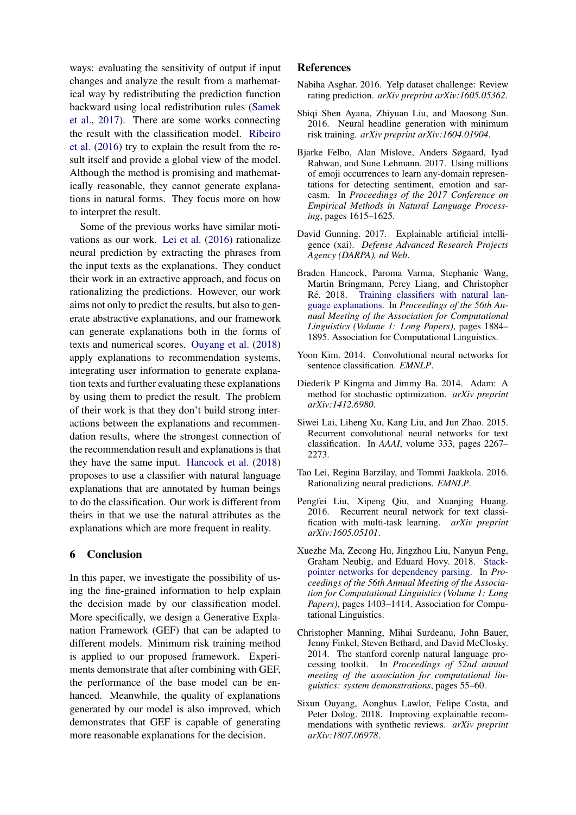ways: evaluating the sensitivity of output if input changes and analyze the result from a mathematical way by redistributing the prediction function backward using local redistribution rules [\(Samek](#page-9-4) [et al.,](#page-9-4) [2017\)](#page-9-4). There are some works connecting the result with the classification model. [Ribeiro](#page-9-5) [et al.](#page-9-5) [\(2016\)](#page-9-5) try to explain the result from the result itself and provide a global view of the model. Although the method is promising and mathematically reasonable, they cannot generate explanations in natural forms. They focus more on how to interpret the result.

Some of the previous works have similar motivations as our work. [Lei et al.](#page-8-11) [\(2016\)](#page-8-11) rationalize neural prediction by extracting the phrases from the input texts as the explanations. They conduct their work in an extractive approach, and focus on rationalizing the predictions. However, our work aims not only to predict the results, but also to generate abstractive explanations, and our framework can generate explanations both in the forms of texts and numerical scores. [Ouyang et al.](#page-8-12) [\(2018\)](#page-8-12) apply explanations to recommendation systems, integrating user information to generate explanation texts and further evaluating these explanations by using them to predict the result. The problem of their work is that they don't build strong interactions between the explanations and recommendation results, where the strongest connection of the recommendation result and explanations is that they have the same input. [Hancock et al.](#page-8-0) [\(2018\)](#page-8-0) proposes to use a classifier with natural language explanations that are annotated by human beings to do the classification. Our work is different from theirs in that we use the natural attributes as the explanations which are more frequent in reality.

# 6 Conclusion

In this paper, we investigate the possibility of using the fine-grained information to help explain the decision made by our classification model. More specifically, we design a Generative Explanation Framework (GEF) that can be adapted to different models. Minimum risk training method is applied to our proposed framework. Experiments demonstrate that after combining with GEF, the performance of the base model can be enhanced. Meanwhile, the quality of explanations generated by our model is also improved, which demonstrates that GEF is capable of generating more reasonable explanations for the decision.

## References

- <span id="page-8-2"></span>Nabiha Asghar. 2016. Yelp dataset challenge: Review rating prediction. *arXiv preprint arXiv:1605.05362*.
- <span id="page-8-6"></span>Shiqi Shen Ayana, Zhiyuan Liu, and Maosong Sun. 2016. Neural headline generation with minimum risk training. *arXiv preprint arXiv:1604.01904*.
- <span id="page-8-7"></span>Bjarke Felbo, Alan Mislove, Anders Søgaard, Iyad Rahwan, and Sune Lehmann. 2017. Using millions of emoji occurrences to learn any-domain representations for detecting sentiment, emotion and sarcasm. In *Proceedings of the 2017 Conference on Empirical Methods in Natural Language Processing*, pages 1615–1625.
- <span id="page-8-10"></span>David Gunning. 2017. Explainable artificial intelligence (xai). *Defense Advanced Research Projects Agency (DARPA), nd Web*.
- <span id="page-8-0"></span>Braden Hancock, Paroma Varma, Stephanie Wang, Martin Bringmann, Percy Liang, and Christopher Ré. 2018. [Training classifiers with natural lan](http://aclweb.org/anthology/P18-1175)[guage explanations.](http://aclweb.org/anthology/P18-1175) In *Proceedings of the 56th Annual Meeting of the Association for Computational Linguistics (Volume 1: Long Papers)*, pages 1884– 1895. Association for Computational Linguistics.
- <span id="page-8-3"></span>Yoon Kim. 2014. Convolutional neural networks for sentence classification. *EMNLP*.
- <span id="page-8-9"></span>Diederik P Kingma and Jimmy Ba. 2014. Adam: A method for stochastic optimization. *arXiv preprint arXiv:1412.6980*.
- <span id="page-8-5"></span>Siwei Lai, Liheng Xu, Kang Liu, and Jun Zhao. 2015. Recurrent convolutional neural networks for text classification. In *AAAI*, volume 333, pages 2267– 2273.
- <span id="page-8-11"></span>Tao Lei, Regina Barzilay, and Tommi Jaakkola. 2016. Rationalizing neural predictions. *EMNLP*.
- <span id="page-8-4"></span>Pengfei Liu, Xipeng Qiu, and Xuanjing Huang. 2016. Recurrent neural network for text classification with multi-task learning. *arXiv preprint arXiv:1605.05101*.
- <span id="page-8-1"></span>Xuezhe Ma, Zecong Hu, Jingzhou Liu, Nanyun Peng, Graham Neubig, and Eduard Hovy. 2018. [Stack](http://aclweb.org/anthology/P18-1130)[pointer networks for dependency parsing.](http://aclweb.org/anthology/P18-1130) In *Proceedings of the 56th Annual Meeting of the Association for Computational Linguistics (Volume 1: Long Papers)*, pages 1403–1414. Association for Computational Linguistics.
- <span id="page-8-8"></span>Christopher Manning, Mihai Surdeanu, John Bauer, Jenny Finkel, Steven Bethard, and David McClosky. 2014. The stanford corenlp natural language processing toolkit. In *Proceedings of 52nd annual meeting of the association for computational linguistics: system demonstrations*, pages 55–60.
- <span id="page-8-12"></span>Sixun Ouyang, Aonghus Lawlor, Felipe Costa, and Peter Dolog. 2018. Improving explainable recommendations with synthetic reviews. *arXiv preprint arXiv:1807.06978*.